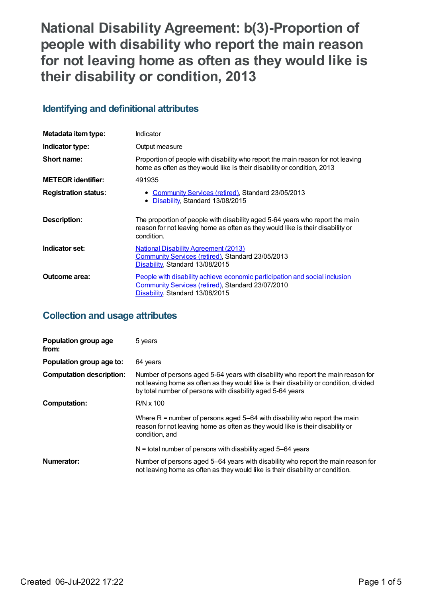**National Disability Agreement: b(3)-Proportion of people with disability who report the main reason for not leaving home as often as they would like is their disability or condition, 2013**

# **Identifying and definitional attributes**

| Metadata item type:         | Indicator                                                                                                                                                                    |
|-----------------------------|------------------------------------------------------------------------------------------------------------------------------------------------------------------------------|
| Indicator type:             | Output measure                                                                                                                                                               |
| Short name:                 | Proportion of people with disability who report the main reason for not leaving<br>home as often as they would like is their disability or condition, 2013                   |
| <b>METEOR identifier:</b>   | 491935                                                                                                                                                                       |
| <b>Registration status:</b> | Community Services (retired), Standard 23/05/2013<br>Disability, Standard 13/08/2015                                                                                         |
| Description:                | The proportion of people with disability aged 5-64 years who report the main<br>reason for not leaving home as often as they would like is their disability or<br>condition. |
| Indicator set:              | <b>National Disability Agreement (2013)</b><br>Community Services (retired), Standard 23/05/2013<br>Disability, Standard 13/08/2015                                          |
| Outcome area:               | People with disability achieve economic participation and social inclusion<br>Community Services (retired), Standard 23/07/2010<br>Disability, Standard 13/08/2015           |

# **Collection and usage attributes**

| Population group age<br>from:   | 5 years                                                                                                                                                                                                                                  |
|---------------------------------|------------------------------------------------------------------------------------------------------------------------------------------------------------------------------------------------------------------------------------------|
| Population group age to:        | 64 years                                                                                                                                                                                                                                 |
| <b>Computation description:</b> | Number of persons aged 5-64 years with disability who report the main reason for<br>not leaving home as often as they would like is their disability or condition, divided<br>by total number of persons with disability aged 5-64 years |
| Computation:                    | $R/N \times 100$                                                                                                                                                                                                                         |
|                                 | Where $R =$ number of persons aged 5–64 with disability who report the main<br>reason for not leaving home as often as they would like is their disability or<br>condition, and                                                          |
|                                 | $N =$ total number of persons with disability aged 5–64 years                                                                                                                                                                            |
| Numerator:                      | Number of persons aged 5–64 years with disability who report the main reason for<br>not leaving home as often as they would like is their disability or condition.                                                                       |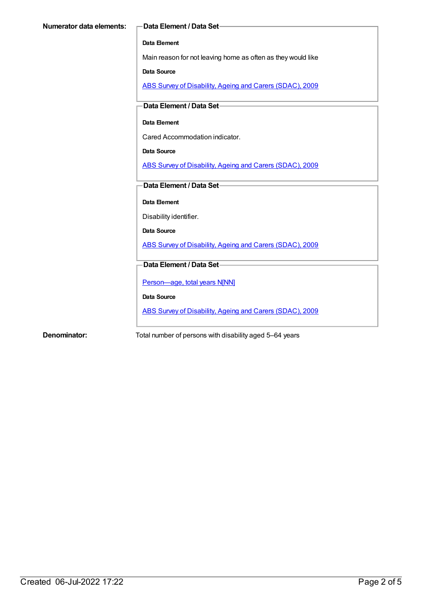#### **Data Element**

Main reason for not leaving home as often as they would like

#### **Data Source**

ABS Survey of [Disability,](https://meteor.aihw.gov.au/content/445288) Ageing and Carers (SDAC), 2009

### **Data Element / Data Set**

### **Data Element**

Cared Accommodation indicator.

#### **Data Source**

ABS Survey of [Disability,](https://meteor.aihw.gov.au/content/445288) Ageing and Carers (SDAC), 2009

### **Data Element / Data Set**

**Data Element**

#### Disability identifier.

**Data Source**

ABS Survey of [Disability,](https://meteor.aihw.gov.au/content/445288) Ageing and Carers (SDAC), 2009

#### **Data Element / Data Set**

[Person—age,](https://meteor.aihw.gov.au/content/303794) total years N[NN]

**Data Source**

ABS Survey of [Disability,](https://meteor.aihw.gov.au/content/445288) Ageing and Carers (SDAC), 2009

**Denominator:** Total number of persons with disability aged 5–64 years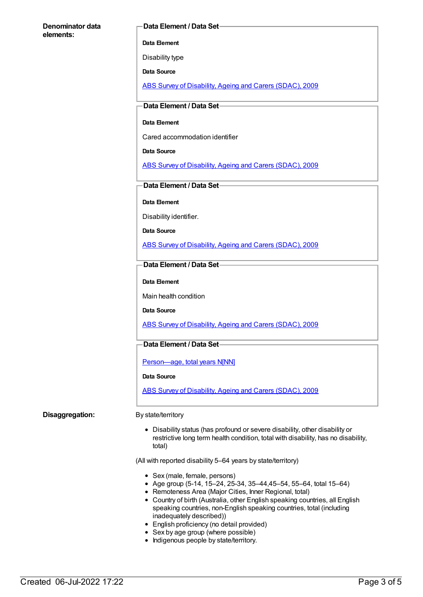#### **Denominator data elements:**

#### **Data Element / Data Set**

**Data Element**

Disability type

**Data Source**

ABS Survey of [Disability,](https://meteor.aihw.gov.au/content/445288) Ageing and Carers (SDAC), 2009

#### **Data Element / Data Set**

#### **Data Element**

Cared accommodation identifier

**Data Source**

ABS Survey of [Disability,](https://meteor.aihw.gov.au/content/445288) Ageing and Carers (SDAC), 2009

#### **Data Element / Data Set**

**Data Element**

Disability identifier.

**Data Source**

ABS Survey of [Disability,](https://meteor.aihw.gov.au/content/445288) Ageing and Carers (SDAC), 2009

#### **Data Element / Data Set**

#### **Data Element**

Main health condition

**Data Source**

ABS Survey of [Disability,](https://meteor.aihw.gov.au/content/445288) Ageing and Carers (SDAC), 2009

#### **Data Element / Data Set**

Person-age, total years N[NN]

#### **Data Source**

ABS Survey of [Disability,](https://meteor.aihw.gov.au/content/445288) Ageing and Carers (SDAC), 2009

#### **Disaggregation:** By state/territory

Disability status (has profound or severe disability, other disability or restrictive long term health condition, total with disability, has no disability, total)

(All with reported disability 5–64 years by state/territory)

- Sex (male, female, persons)
- Age group (5-14, 15–24, 25-34, 35–44,45–54, 55–64, total 15–64)
- Remoteness Area (Major Cities, Inner Regional, total)
- Country of birth (Australia, other English speaking countries, all English speaking countries, non-English speaking countries, total (including inadequately described))
- English proficiency (no detail provided)
- Sex by age group (where possible)
- Indigenous people by state/territory.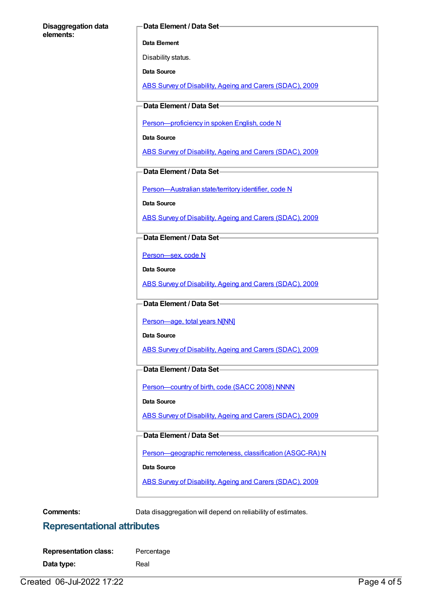#### **Disaggregation data elements:**

#### **Data Element / Data Set**

**Data Element**

Disability status.

**Data Source**

ABS Survey of [Disability,](https://meteor.aihw.gov.au/content/445288) Ageing and Carers (SDAC), 2009

**Data Element / Data Set**

[Person—proficiency](https://meteor.aihw.gov.au/content/270203) in spoken English, code N

**Data Source**

ABS Survey of [Disability,](https://meteor.aihw.gov.au/content/445288) Ageing and Carers (SDAC), 2009

**Data Element / Data Set**

[Person—Australian](https://meteor.aihw.gov.au/content/286919) state/territory identifier, code N

**Data Source**

ABS Survey of [Disability,](https://meteor.aihw.gov.au/content/445288) Ageing and Carers (SDAC), 2009

**Data Element / Data Set**

[Person—sex,](https://meteor.aihw.gov.au/content/287316) code N

**Data Source**

ABS Survey of [Disability,](https://meteor.aihw.gov.au/content/445288) Ageing and Carers (SDAC), 2009

#### **Data Element / Data Set**

Person-age, total years N[NN]

**Data Source**

ABS Survey of [Disability,](https://meteor.aihw.gov.au/content/445288) Ageing and Carers (SDAC), 2009

## **Data Element / Data Set**

Person-country of birth, code (SACC 2008) NNNN

#### **Data Source**

ABS Survey of [Disability,](https://meteor.aihw.gov.au/content/445288) Ageing and Carers (SDAC), 2009

#### **Data Element / Data Set**

[Person—geographic](https://meteor.aihw.gov.au/content/489826) remoteness, classification (ASGC-RA) N

#### **Data Source**

ABS Survey of [Disability,](https://meteor.aihw.gov.au/content/445288) Ageing and Carers (SDAC), 2009

**Comments:** Data disaggregation will depend on reliability of estimates.

## **Representational attributes**

| <b>Representation class:</b> | Percentage |
|------------------------------|------------|
| Data type:                   | Real       |